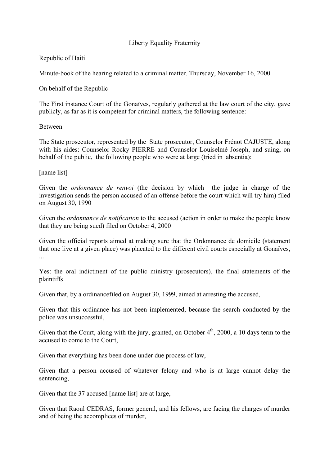# Liberty Equality Fraternity

## Republic of Haiti

Minute-book of the hearing related to a criminal matter. Thursday, November 16, 2000

On behalf of the Republic

The First instance Court of the Gonaïves, regularly gathered at the law court of the city, gave publicly, as far as it is competent for criminal matters, the following sentence:

## Between

The State prosecutor, represented by the State prosecutor, Counselor Frénot CAJUSTE, along with his aides: Counselor Rocky PIERRE and Counselor Louiselmé Joseph, and suing, on behalf of the public, the following people who were at large (tried in absentia):

## [name list]

Given the *ordonnance de renvoi* (the decision by which the judge in charge of the investigation sends the person accused of an offense before the court which will try him) filed on August 30, 1990

Given the *ordonnance de notification* to the accused (action in order to make the people know that they are being sued) filed on October 4, 2000

Given the official reports aimed at making sure that the Ordonnance de domicile (statement that one live at a given place) was placated to the different civil courts especially at Gonaïves, ...

Yes: the oral indictment of the public ministry (prosecutors), the final statements of the plaintiffs

Given that, by a ordinancefiled on August 30, 1999, aimed at arresting the accused,

Given that this ordinance has not been implemented, because the search conducted by the police was unsuccessful,

Given that the Court, along with the jury, granted, on October  $4<sup>th</sup>$ , 2000, a 10 days term to the accused to come to the Court,

Given that everything has been done under due process of law,

Given that a person accused of whatever felony and who is at large cannot delay the sentencing,

Given that the 37 accused [name list] are at large,

Given that Raoul CEDRAS, former general, and his fellows, are facing the charges of murder and of being the accomplices of murder,